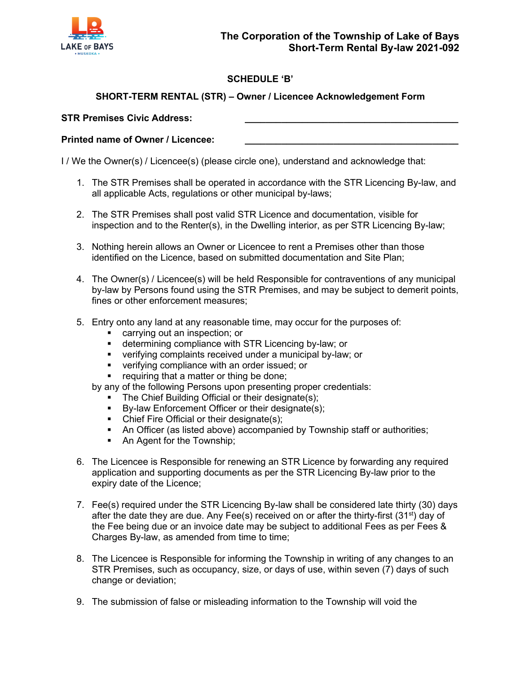

# **SCHEDULE 'B'**

# **SHORT-TERM RENTAL (STR) – Owner / Licencee Acknowledgement Form**

#### **STR Premises Civic Address: \_\_\_\_\_\_\_\_\_\_\_\_\_\_\_\_\_\_\_\_\_\_\_\_\_\_\_\_\_\_\_\_\_\_\_\_\_\_\_\_\_**

#### **Printed name of Owner / Licencee: \_\_\_\_\_\_\_\_\_\_\_\_\_\_\_\_\_\_\_\_\_\_\_\_\_\_\_\_\_\_\_\_\_\_\_\_\_\_\_\_\_**

I / We the Owner(s) / Licencee(s) (please circle one), understand and acknowledge that:

- 1. The STR Premises shall be operated in accordance with the STR Licencing By-law, and all applicable Acts, regulations or other municipal by-laws;
- 2. The STR Premises shall post valid STR Licence and documentation, visible for inspection and to the Renter(s), in the Dwelling interior, as per STR Licencing By-law;
- 3. Nothing herein allows an Owner or Licencee to rent a Premises other than those identified on the Licence, based on submitted documentation and Site Plan;
- 4. The Owner(s) / Licencee(s) will be held Responsible for contraventions of any municipal by-law by Persons found using the STR Premises, and may be subject to demerit points, fines or other enforcement measures;
- 5. Entry onto any land at any reasonable time, may occur for the purposes of:
	- carrying out an inspection; or
	- determining compliance with STR Licencing by-law; or
	- verifying complaints received under a municipal by-law; or
	- verifying compliance with an order issued; or
	- **•** requiring that a matter or thing be done;
	- by any of the following Persons upon presenting proper credentials:
		- The Chief Building Official or their designate(s);
		- By-law Enforcement Officer or their designate(s);
		- Chief Fire Official or their designate(s);
		- An Officer (as listed above) accompanied by Township staff or authorities;
		- An Agent for the Township;
- 6. The Licencee is Responsible for renewing an STR Licence by forwarding any required application and supporting documents as per the STR Licencing By-law prior to the expiry date of the Licence;
- 7. Fee(s) required under the STR Licencing By-law shall be considered late thirty (30) days after the date they are due. Any Fee(s) received on or after the thirty-first  $(31^{st})$  day of the Fee being due or an invoice date may be subject to additional Fees as per Fees & Charges By-law, as amended from time to time;
- 8. The Licencee is Responsible for informing the Township in writing of any changes to an STR Premises, such as occupancy, size, or days of use, within seven (7) days of such change or deviation;
- 9. The submission of false or misleading information to the Township will void the